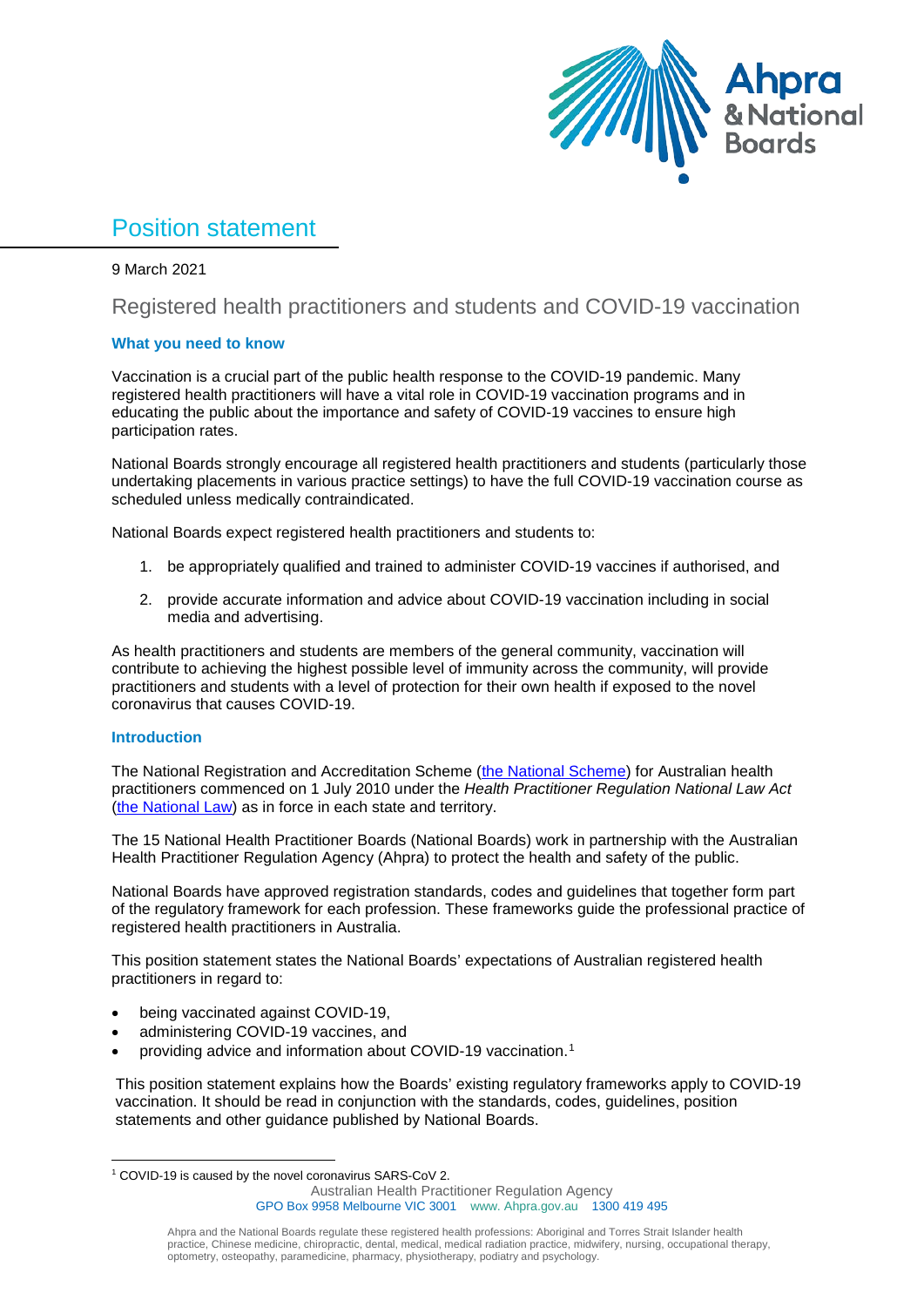

# Position statement

9 March 2021

# Registered health practitioners and students and COVID-19 vaccination

## **What you need to know**

Vaccination is a crucial part of the public health response to the COVID-19 pandemic. Many registered health practitioners will have a vital role in COVID-19 vaccination programs and in educating the public about the importance and safety of COVID-19 vaccines to ensure high participation rates.

National Boards strongly encourage all registered health practitioners and students (particularly those undertaking placements in various practice settings) to have the full COVID-19 vaccination course as scheduled unless medically contraindicated.

National Boards expect registered health practitioners and students to:

- 1. be appropriately qualified and trained to administer COVID-19 vaccines if authorised, and
- 2. provide accurate information and advice about COVID-19 vaccination including in social media and advertising.

As health practitioners and students are members of the general community, vaccination will contribute to achieving the highest possible level of immunity across the community, will provide practitioners and students with a level of protection for their own health if exposed to the novel coronavirus that causes COVID-19.

## **Introduction**

The National Registration and Accreditation Scheme [\(the National Scheme\)](http://www.ahpra.gov.au/Support/FAQ.aspx) for Australian health practitioners commenced on 1 July 2010 under the *Health Practitioner Regulation National Law Act*  [\(the National Law\)](http://www.ahpra.gov.au/Legislation-and-Publications/Legislation.aspx) as in force in each state and territory.

The 15 National Health Practitioner Boards (National Boards) work in partnership with the Australian Health Practitioner Regulation Agency (Ahpra) to protect the health and safety of the public.

National Boards have approved registration standards, codes and guidelines that together form part of the regulatory framework for each profession. These frameworks guide the professional practice of registered health practitioners in Australia.

This position statement states the National Boards' expectations of Australian registered health practitioners in regard to:

- being vaccinated against COVID-19,
- administering COVID-19 vaccines, and
- providing advice and information about COVID-19 vaccination.[1](#page-0-0)

This position statement explains how the Boards' existing regulatory frameworks apply to COVID-19 vaccination. It should be read in conjunction with the standards, codes, guidelines, position statements and other guidance published by National Boards.

Australian Health Practitioner Regulation Agency GPO Box 9958 Melbourne VIC 3001 www. Ahpra.gov.au 1300 419 495

<span id="page-0-0"></span> <sup>1</sup> COVID-19 is caused by the novel coronavirus SARS-CoV 2.

Ahpra and the National Boards regulate these registered health professions: Aboriginal and Torres Strait Islander health practice, Chinese medicine, chiropractic, dental, medical, medical radiation practice, midwifery, nursing, occupational therapy, optometry, osteopathy, paramedicine, pharmacy, physiotherapy, podiatry and psychology.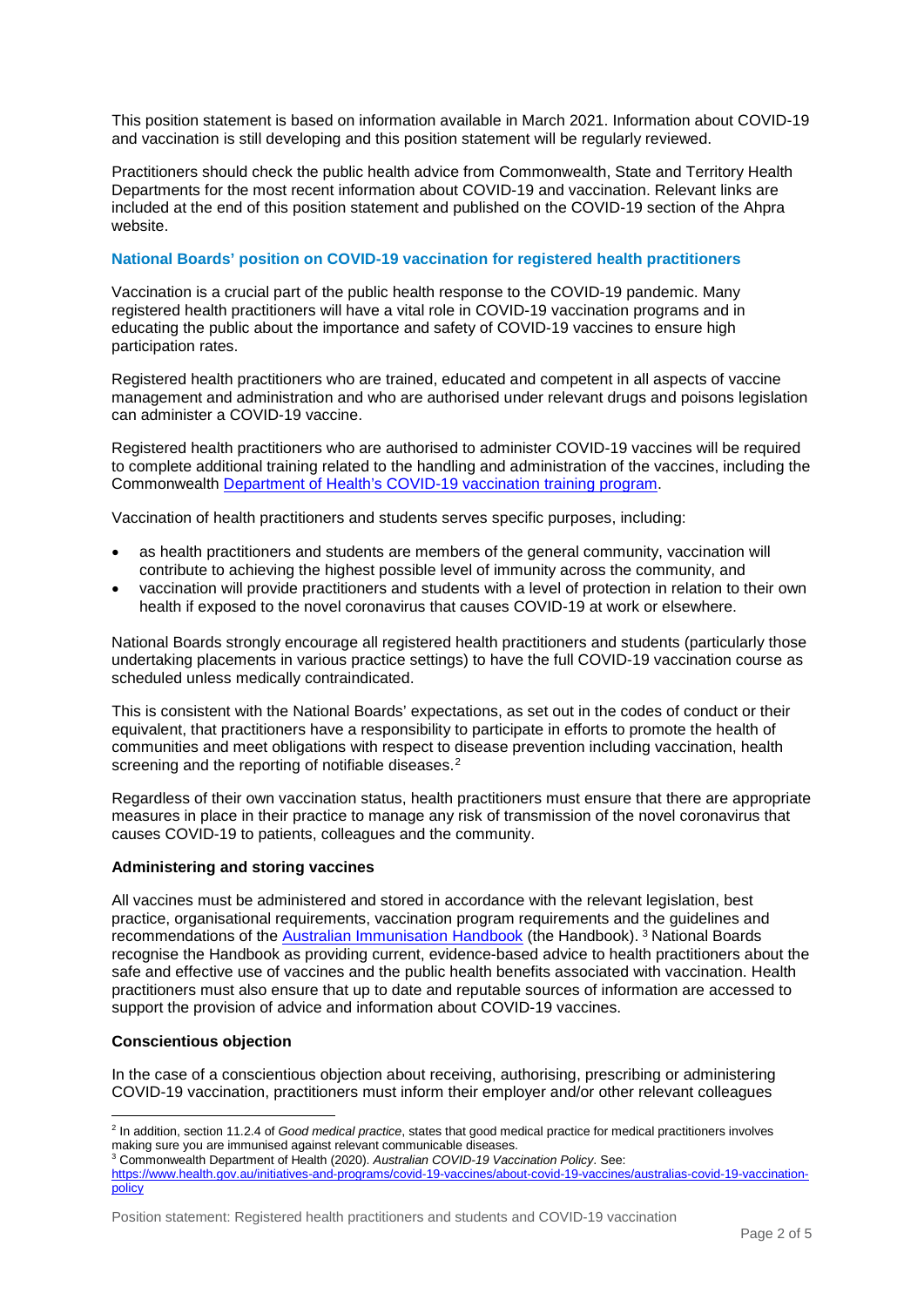This position statement is based on information available in March 2021. Information about COVID-19 and vaccination is still developing and this position statement will be regularly reviewed.

Practitioners should check the public health advice from Commonwealth, State and Territory Health Departments for the most recent information about COVID-19 and vaccination. Relevant links are included at the end of this position statement and published on the COVID-19 section of the Ahpra website.

#### **National Boards' position on COVID-19 vaccination for registered health practitioners**

Vaccination is a crucial part of the public health response to the COVID-19 pandemic. Many registered health practitioners will have a vital role in COVID-19 vaccination programs and in educating the public about the importance and safety of COVID-19 vaccines to ensure high participation rates.

Registered health practitioners who are trained, educated and competent in all aspects of vaccine management and administration and who are authorised under relevant drugs and poisons legislation can administer a COVID-19 vaccine.

Registered health practitioners who are authorised to administer COVID-19 vaccines will be required to complete additional training related to the handling and administration of the vaccines, including the Commonwealth [Department of Health's COVID-19 vaccination training program.](https://www.health.gov.au/initiatives-and-programs/covid-19-vaccines/covid-19-vaccination-training-program)

Vaccination of health practitioners and students serves specific purposes, including:

- as health practitioners and students are members of the general community, vaccination will contribute to achieving the highest possible level of immunity across the community, and
- vaccination will provide practitioners and students with a level of protection in relation to their own health if exposed to the novel coronavirus that causes COVID-19 at work or elsewhere.

National Boards strongly encourage all registered health practitioners and students (particularly those undertaking placements in various practice settings) to have the full COVID-19 vaccination course as scheduled unless medically contraindicated.

This is consistent with the National Boards' expectations, as set out in the [codes of conduct](https://www.nursingmidwiferyboard.gov.au/Codes-Guidelines-Statements/Professional-standards.aspx) or their equivalent, that practitioners have a responsibility to participate in efforts to promote the health of communities and meet obligations with respect to disease prevention including vaccination, health screening and the reporting of notifiable diseases.<sup>[2](#page-1-0)</sup>

Regardless of their own vaccination status, health practitioners must ensure that there are appropriate measures in place in their practice to manage any risk of transmission of the novel coronavirus that causes COVID-19 to patients, colleagues and the community.

#### **Administering and storing vaccines**

All vaccines must be administered and stored in accordance with the relevant legislation, best practice, organisational requirements, vaccination program requirements and the guidelines and recommendations of the [Australian Immunisation Handbook](https://immunisationhandbook.health.gov.au/) (the Handbook). [3](#page-1-1) National Boards recognise the Handbook as providing current, evidence-based advice to health practitioners about the safe and effective use of vaccines and the public health benefits associated with vaccination. Health practitioners must also ensure that up to date and reputable sources of information are accessed to support the provision of advice and information about COVID-19 vaccines.

#### **Conscientious objection**

In the case of a conscientious objection about receiving, authorising, prescribing or administering COVID-19 vaccination, practitioners must inform their employer and/or other relevant colleagues

<span id="page-1-0"></span> <sup>2</sup> In addition, section 11.2.4 of *Good medical practice*, states that good medical practice for medical practitioners involves making sure you are immunised against relevant communicable diseases.

<span id="page-1-1"></span><sup>3</sup> Commonwealth Department of Health (2020). *Australian COVID-19 Vaccination Policy*. See:

[https://www.health.gov.au/initiatives-and-programs/covid-19-vaccines/about-covid-19-vaccines/australias-covid-19-vaccination](https://www.health.gov.au/initiatives-and-programs/covid-19-vaccines/about-covid-19-vaccines/australias-covid-19-vaccination-policy)[policy](https://www.health.gov.au/initiatives-and-programs/covid-19-vaccines/about-covid-19-vaccines/australias-covid-19-vaccination-policy)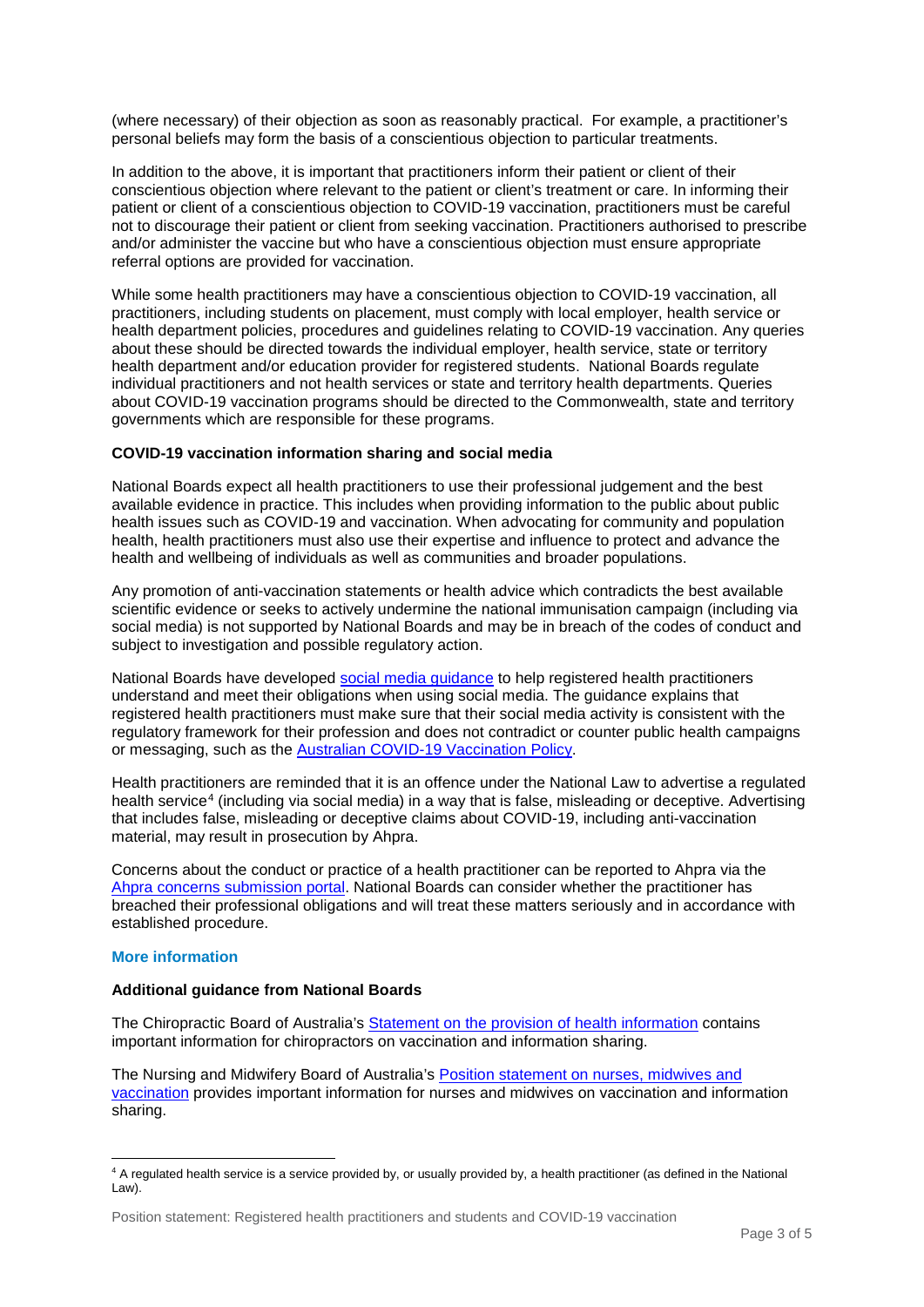(where necessary) of their objection as soon as reasonably practical. For example, a practitioner's personal beliefs may form the basis of a conscientious objection to particular treatments.

In addition to the above, it is important that practitioners inform their patient or client of their conscientious objection where relevant to the patient or client's treatment or care. In informing their patient or client of a conscientious objection to COVID-19 vaccination, practitioners must be careful not to discourage their patient or client from seeking vaccination. Practitioners authorised to prescribe and/or administer the vaccine but who have a conscientious objection must ensure appropriate referral options are provided for vaccination.

While some health practitioners may have a conscientious objection to COVID-19 vaccination, all practitioners, including students on placement, must comply with local employer, health service or health department policies, procedures and guidelines relating to COVID-19 vaccination. Any queries about these should be directed towards the individual employer, health service, state or territory health department and/or education provider for registered students. National Boards regulate individual practitioners and not health services or state and territory health departments. Queries about COVID-19 vaccination programs should be directed to the Commonwealth, state and territory governments which are responsible for these programs.

#### **COVID-19 vaccination information sharing and social media**

National Boards expect all health practitioners to use their professional judgement and the best available evidence in practice. This includes when providing information to the public about public health issues such as COVID-19 and vaccination. When advocating for community and population health, health practitioners must also use their expertise and influence to protect and advance the health and wellbeing of individuals as well as communities and broader populations.

Any promotion of anti-vaccination statements or health advice which contradicts the best available scientific evidence or seeks to actively undermine the national immunisation campaign (including via social media) is not supported by National Boards and may be in breach of the codes of conduct and subject to investigation and possible regulatory action.

National Boards have developed [social media guidance](https://www.ahpra.gov.au/Publications/Social-media-guidance.aspx) to help registered health practitioners understand and meet their obligations when using social media. The guidance explains that registered health practitioners must make sure that their social media activity is consistent with the regulatory framework for their profession and does not contradict or counter public health campaigns or messaging, such as the [Australian COVID-19 Vaccination](https://www.health.gov.au/initiatives-and-programs/covid-19-vaccines/about-covid-19-vaccines/australias-covid-19-vaccination-policy) Policy.

Health practitioners are reminded that it is an offence under the National Law to advertise a regulated health service<sup>[4](#page-2-0)</sup> (including via social media) in a way that is false, misleading or deceptive. Advertising that includes false, misleading or deceptive claims about COVID-19, including anti-vaccination material, may result in prosecution by Ahpra.

Concerns about the conduct or practice of a health practitioner can be reported to Ahpra via the [Ahpra concerns submission portal.](https://www.ahpra.gov.au/Notifications/How-to-submit-a-concern.aspx) National Boards can consider whether the practitioner has breached their professional obligations and will treat these matters seriously and in accordance with established procedure.

#### **More information**

#### **Additional guidance from National Boards**

The Chiropractic Board of Australia's [Statement on the provision of health information](https://www.chiropracticboard.gov.au/Codes-guidelines/Position-statements.aspx) contains important information for chiropractors on vaccination and information sharing.

The Nursing and Midwifery Board of Australia's [Position statement on nurses, midwives and](https://www.nursingmidwiferyboard.gov.au/Codes-Guidelines-Statements/Position-Statements/vaccination.aspx)  [vaccination](https://www.nursingmidwiferyboard.gov.au/Codes-Guidelines-Statements/Position-Statements/vaccination.aspx) provides important information for nurses and midwives on vaccination and information sharing.

<span id="page-2-0"></span> <sup>4</sup> A regulated health service is a service provided by, or usually provided by, a health practitioner (as defined in the National Law).

Position statement: Registered health practitioners and students and COVID-19 vaccination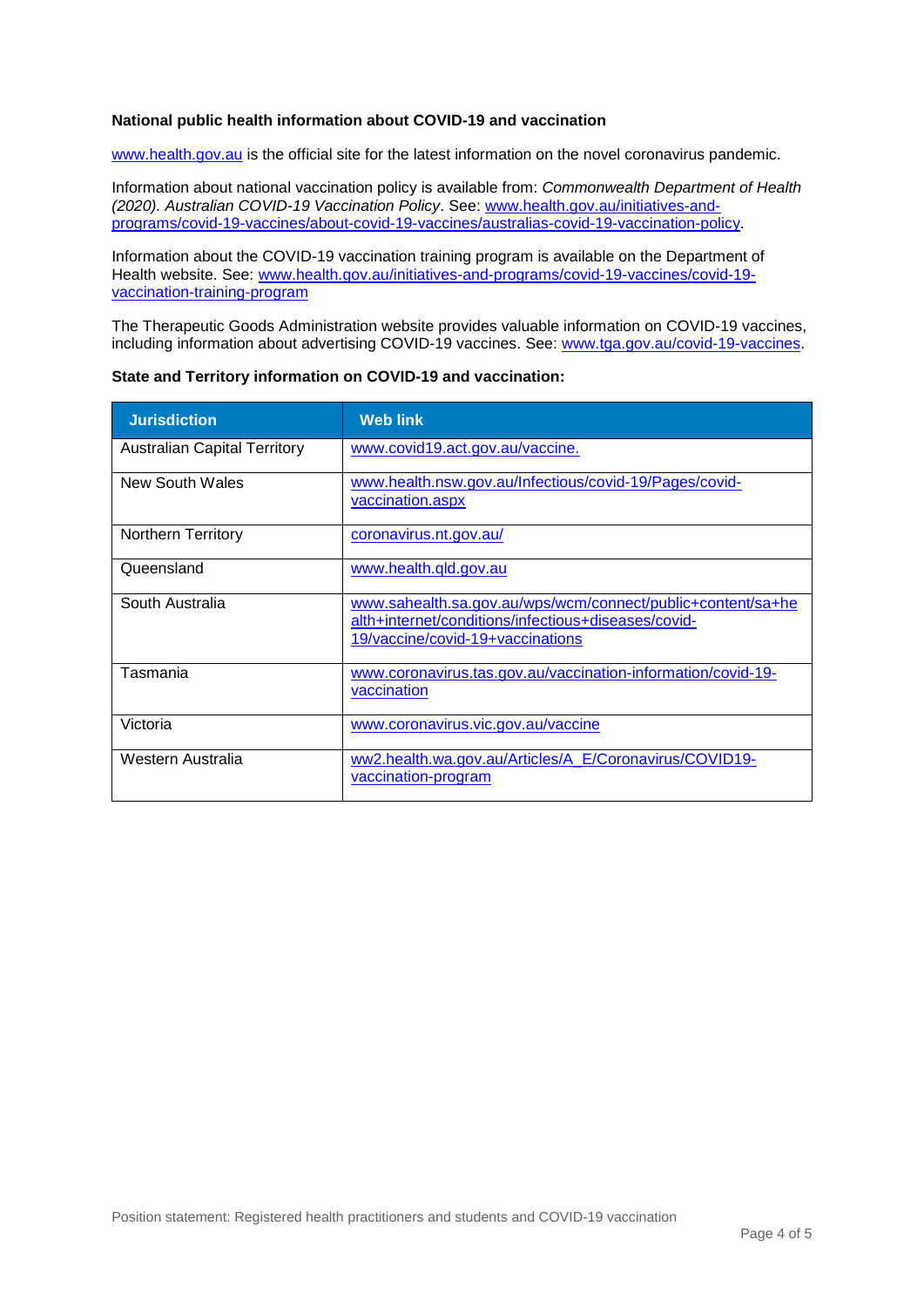#### **National public health information about COVID-19 and vaccination**

[www.health.gov.au](http://www.health.gov.au/) is the official site for the latest information on the novel coronavirus pandemic.

Information about national vaccination policy is available from: *Commonwealth Department of Health (2020). Australian COVID-19 Vaccination Policy*. See: [www.health.gov.au/initiatives-and](http://www.health.gov.au/initiatives-and-programs/covid-19-vaccines/about-covid-19-vaccines/australias-covid-19-vaccination-policy)[programs/covid-19-vaccines/about-covid-19-vaccines/australias-covid-19-vaccination-policy.](http://www.health.gov.au/initiatives-and-programs/covid-19-vaccines/about-covid-19-vaccines/australias-covid-19-vaccination-policy)

Information about the COVID-19 vaccination training program is available on the Department of Health website. See: [www.health.gov.au/initiatives-and-programs/covid-19-vaccines/covid-19](http://www.health.gov.au/initiatives-and-programs/covid-19-vaccines/covid-19-vaccination-training-program) [vaccination-training-program](http://www.health.gov.au/initiatives-and-programs/covid-19-vaccines/covid-19-vaccination-training-program)

The Therapeutic Goods Administration website provides valuable information on COVID-19 vaccines, including information about advertising COVID-19 vaccines. See: [www.tga.gov.au/covid-19-vaccines.](http://www.tga.gov.au/covid-19-vaccines)

| <b>Jurisdiction</b>                 | <b>Web link</b>                                                                                                                                        |
|-------------------------------------|--------------------------------------------------------------------------------------------------------------------------------------------------------|
| <b>Australian Capital Territory</b> | www.covid19.act.gov.au/vaccine.                                                                                                                        |
| New South Wales                     | www.health.nsw.gov.au/Infectious/covid-19/Pages/covid-<br>vaccination.aspx                                                                             |
| <b>Northern Territory</b>           | coronavirus.nt.gov.au/                                                                                                                                 |
| Queensland                          | www.health.gld.gov.au                                                                                                                                  |
| South Australia                     | www.sahealth.sa.gov.au/wps/wcm/connect/public+content/sa+he<br>alth+internet/conditions/infectious+diseases/covid-<br>19/vaccine/covid-19+vaccinations |
| Tasmania                            | www.coronavirus.tas.gov.au/vaccination-information/covid-19-<br>vaccination                                                                            |
| Victoria                            | www.coronavirus.vic.gov.au/vaccine                                                                                                                     |
| Western Australia                   | ww2.health.wa.gov.au/Articles/A_E/Coronavirus/COVID19-<br>vaccination-program                                                                          |

**State and Territory information on COVID-19 and vaccination:**